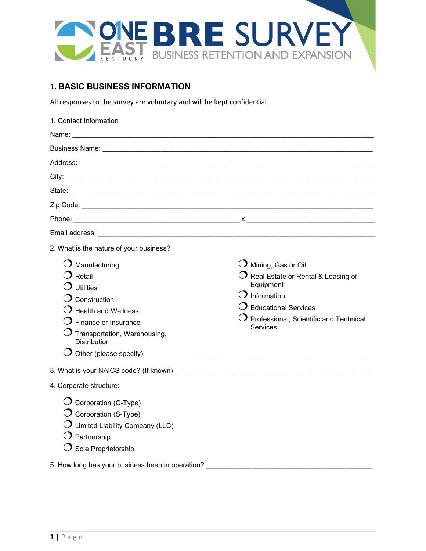

# **1. BASIC BUSINESS INFORMATION**

All responses to the survey are voluntary and will be kept confidential.

| 1. Contact Information                                                                                                                                                                         |                                                                                                                                                                                                                     |
|------------------------------------------------------------------------------------------------------------------------------------------------------------------------------------------------|---------------------------------------------------------------------------------------------------------------------------------------------------------------------------------------------------------------------|
|                                                                                                                                                                                                |                                                                                                                                                                                                                     |
|                                                                                                                                                                                                |                                                                                                                                                                                                                     |
|                                                                                                                                                                                                |                                                                                                                                                                                                                     |
|                                                                                                                                                                                                |                                                                                                                                                                                                                     |
|                                                                                                                                                                                                |                                                                                                                                                                                                                     |
|                                                                                                                                                                                                |                                                                                                                                                                                                                     |
|                                                                                                                                                                                                |                                                                                                                                                                                                                     |
|                                                                                                                                                                                                |                                                                                                                                                                                                                     |
| 2. What is the nature of your business?                                                                                                                                                        |                                                                                                                                                                                                                     |
| $\bm{\mathrm{O}}$ Manufacturing<br>$\bm{\mathrm{O}}$ Retail<br>Utilities<br>Construction<br><b>Health and Wellness</b><br>Finance or Insurance<br>Transportation, Warehousing,<br>Distribution | $\mathrm O$ Mining, Gas or Oil<br>$\mathrm O$ Real Estate or Rental & Leasing of<br>Equipment<br>$\bigcirc$ Information<br>$\mathbf \Im$ Educational Services<br>Professional, Scientific and Technical<br>Services |
|                                                                                                                                                                                                |                                                                                                                                                                                                                     |
| 4. Corporate structure:                                                                                                                                                                        |                                                                                                                                                                                                                     |
| $\overline{O}$ Corporation (C-Type)<br>$\bigcirc$ Corporation (S-Type)<br>$\bigcirc$ Limited Liability Company (LLC)<br>$\bigcirc$ Partnership<br>$\bigcirc$ Sole Proprietorship               |                                                                                                                                                                                                                     |
| 5. How long has your business been in operation? ________________________________                                                                                                              |                                                                                                                                                                                                                     |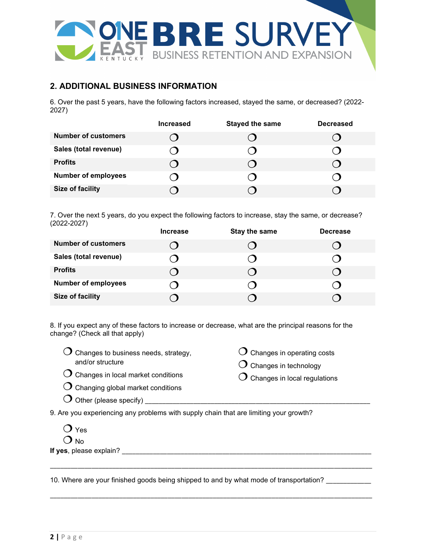

## **2. ADDITIONAL BUSINESS INFORMATION**

6. Over the past 5 years, have the following factors increased, stayed the same, or decreased? (2022- 2027)

|                            | <b>Increased</b> | <b>Stayed the same</b> | <b>Decreased</b> |
|----------------------------|------------------|------------------------|------------------|
| <b>Number of customers</b> |                  |                        |                  |
| Sales (total revenue)      |                  |                        |                  |
| <b>Profits</b>             |                  |                        |                  |
| <b>Number of employees</b> |                  |                        |                  |
| <b>Size of facility</b>    |                  |                        |                  |

7. Over the next 5 years, do you expect the following factors to increase, stay the same, or decrease? (2022-2027)

|                            | <b>Increase</b> | Stay the same | <b>Decrease</b> |
|----------------------------|-----------------|---------------|-----------------|
| <b>Number of customers</b> |                 |               |                 |
| Sales (total revenue)      |                 |               |                 |
| <b>Profits</b>             |                 |               |                 |
| <b>Number of employees</b> |                 |               |                 |
| Size of facility           |                 |               |                 |

8. If you expect any of these factors to increase or decrease, what are the principal reasons for the change? (Check all that apply)

- $\overline{O}$  Changes to business needs, strategy, and/or structure
- $\bigcirc$  Changes in operating costs
- $\overline{O}$  Changes in technology
- $\bigcirc$  Changes in local regulations

 $\overline{O}$  Changes in local market conditions  $O$  Changing global market conditions

| $\cup$ Other (please specify) |
|-------------------------------|
|-------------------------------|

9. Are you experiencing any problems with supply chain that are limiting your growth?

| Yes |
|-----|
|     |

 $\bigcup$  No **If yes**, please explain?

10. Where are your finished goods being shipped to and by what mode of transportation? \_\_\_\_\_\_\_\_\_\_\_

\_\_\_\_\_\_\_\_\_\_\_\_\_\_\_\_\_\_\_\_\_\_\_\_\_\_\_\_\_\_\_\_\_\_\_\_\_\_\_\_\_\_\_\_\_\_\_\_\_\_\_\_\_\_\_\_\_\_\_\_\_\_\_\_\_\_\_\_\_\_\_\_\_\_\_\_\_\_\_\_\_\_\_\_\_\_\_\_\_\_\_\_\_

\_\_\_\_\_\_\_\_\_\_\_\_\_\_\_\_\_\_\_\_\_\_\_\_\_\_\_\_\_\_\_\_\_\_\_\_\_\_\_\_\_\_\_\_\_\_\_\_\_\_\_\_\_\_\_\_\_\_\_\_\_\_\_\_\_\_\_\_\_\_\_\_\_\_\_\_\_\_\_\_\_\_\_\_\_\_\_\_\_\_\_\_\_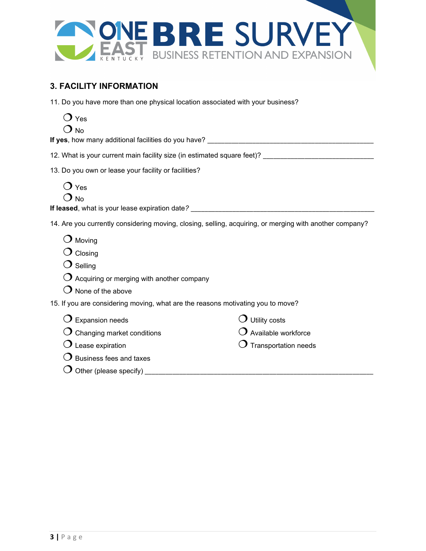

## **3. FACILITY INFORMATION**

- 11. Do you have more than one physical location associated with your business?
	- $\overline{O}$  Yes
	- $O_{N0}$

**If yes**, how many additional facilities do you have?

12. What is your current main facility size (in estimated square feet)? \_\_\_\_\_\_\_\_\_\_\_\_\_\_\_\_\_\_\_\_\_\_\_\_\_\_\_\_\_\_\_\_

13. Do you own or lease your facility or facilities?

 $\overline{O}$  Yes  $O_{N0}$ 

**If leased**, what is your lease expiration date*?* \_\_\_\_\_\_\_\_\_\_\_\_\_\_\_\_\_\_\_\_\_\_\_\_\_\_\_\_\_\_\_\_\_\_\_\_\_\_\_\_\_\_\_\_\_\_\_\_\_\_\_\_\_

14. Are you currently considering moving, closing, selling, acquiring, or merging with another company?

- $\bigcirc$  Moving
- $O$  Closing
- $O$  Selling
- $\overline{O}$  Acquiring or merging with another company
- $\bigcirc$  None of the above

15. If you are considering moving, what are the reasons motivating you to move?

|  | $\bigcirc$ Expansion needs |  |
|--|----------------------------|--|
|--|----------------------------|--|

 $\bigcirc$  Utility costs

 $\sigma$  Transportation needs

 $\bigcirc$  Available workforce

- $O$  Lease expiration
- $\bigcirc$  Business fees and taxes

 $\bigcirc$  Changing market conditions

Other (please specify) \_\_\_\_\_\_\_\_\_\_\_\_\_\_\_\_\_\_\_\_\_\_\_\_\_\_\_\_\_\_\_\_\_\_\_\_\_\_\_\_\_\_\_\_\_\_\_\_\_\_\_\_\_\_\_\_\_\_\_\_\_\_\_\_\_\_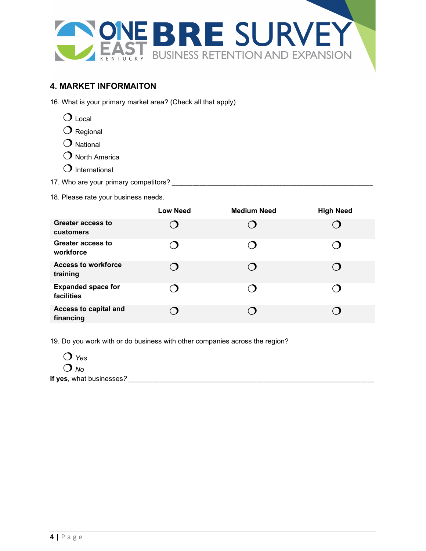

### **4. MARKET INFORMAITON**

16. What is your primary market area? (Check all that apply)

- $\bigcirc$  Local
- $O$  Regional
- $O$  National
- $O$  North America
- $O$  International
- 17. Who are your primary competitors?
- 18. Please rate your business needs.

|                                         | <b>Low Need</b> | <b>Medium Need</b> | <b>High Need</b> |
|-----------------------------------------|-----------------|--------------------|------------------|
| Greater access to<br>customers          |                 |                    |                  |
| <b>Greater access to</b><br>workforce   |                 |                    | $\Box$           |
| <b>Access to workforce</b><br>training  | $\blacksquare$  |                    |                  |
| <b>Expanded space for</b><br>facilities |                 |                    |                  |
| Access to capital and<br>financing      |                 |                    |                  |

19. Do you work with or do business with other companies across the region?



**If yes**, what businesses*? \_\_\_\_\_\_\_\_\_\_\_\_\_\_\_\_\_\_\_\_\_\_\_\_\_\_\_\_\_\_\_\_\_\_\_\_\_\_\_\_\_\_\_\_\_\_\_\_\_\_\_\_\_\_\_\_\_\_\_\_\_\_\_\_\_\_\_\_\_\_\_*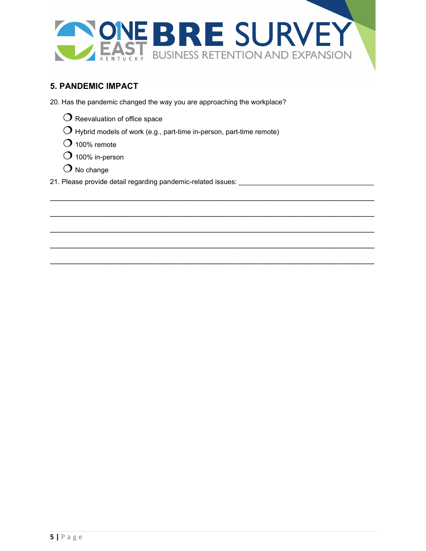

\_\_\_\_\_\_\_\_\_\_\_\_\_\_\_\_\_\_\_\_\_\_\_\_\_\_\_\_\_\_\_\_\_\_\_\_\_\_\_\_\_\_\_\_\_\_\_\_\_\_\_\_\_\_\_\_\_\_\_\_\_\_\_\_\_\_\_\_\_\_\_\_\_\_\_\_\_\_

\_\_\_\_\_\_\_\_\_\_\_\_\_\_\_\_\_\_\_\_\_\_\_\_\_\_\_\_\_\_\_\_\_\_\_\_\_\_\_\_\_\_\_\_\_\_\_\_\_\_\_\_\_\_\_\_\_\_\_\_\_\_\_\_\_\_\_\_\_\_\_\_\_\_\_\_\_\_

\_\_\_\_\_\_\_\_\_\_\_\_\_\_\_\_\_\_\_\_\_\_\_\_\_\_\_\_\_\_\_\_\_\_\_\_\_\_\_\_\_\_\_\_\_\_\_\_\_\_\_\_\_\_\_\_\_\_\_\_\_\_\_\_\_\_\_\_\_\_\_\_\_\_\_\_\_\_

\_\_\_\_\_\_\_\_\_\_\_\_\_\_\_\_\_\_\_\_\_\_\_\_\_\_\_\_\_\_\_\_\_\_\_\_\_\_\_\_\_\_\_\_\_\_\_\_\_\_\_\_\_\_\_\_\_\_\_\_\_\_\_\_\_\_\_\_\_\_\_\_\_\_\_\_\_\_

\_\_\_\_\_\_\_\_\_\_\_\_\_\_\_\_\_\_\_\_\_\_\_\_\_\_\_\_\_\_\_\_\_\_\_\_\_\_\_\_\_\_\_\_\_\_\_\_\_\_\_\_\_\_\_\_\_\_\_\_\_\_\_\_\_\_\_\_\_\_\_\_\_\_\_\_\_\_

#### **5. PANDEMIC IMPACT**

20. Has the pandemic changed the way you are approaching the workplace?

- $\bigcirc$  Reevaluation of office space
- $\bigcirc$  Hybrid models of work (e.g., part-time in-person, part-time remote)
- $O$  100% remote
- $O$  100% in-person
- $\bigcirc$  No change
- 21. Please provide detail regarding pandemic-related issues: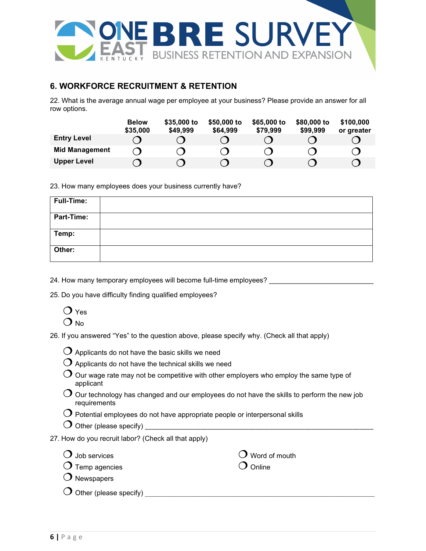

#### **6. WORKFORCE RECRUITMENT & RETENTION**

22. What is the average annual wage per employee at your business? Please provide an answer for all row options.

|                       | <b>Below</b><br>\$35,000 | \$35,000 to<br>\$49,999 | \$50,000 to<br>\$64,999 | \$65,000 to<br>\$79,999 | \$80,000 to<br>\$99,999 | \$100,000<br>or greater |
|-----------------------|--------------------------|-------------------------|-------------------------|-------------------------|-------------------------|-------------------------|
| <b>Entry Level</b>    |                          |                         |                         |                         |                         |                         |
| <b>Mid Management</b> |                          |                         |                         |                         |                         |                         |
| <b>Upper Level</b>    |                          |                         |                         |                         |                         |                         |

23. How many employees does your business currently have?

| Full-Time:        |  |
|-------------------|--|
| <b>Part-Time:</b> |  |
| Temp:             |  |
| Other:            |  |

24. How many temporary employees will become full-time employees?

25. Do you have difficulty finding qualified employees?

 $\bigcirc$  Yes  $\Omega_{\text{No}}$ 

26. If you answered "Yes" to the question above, please specify why. (Check all that apply)

| $\bigcirc$ Applicants do not have the basic skills we need |
|------------------------------------------------------------|
|------------------------------------------------------------|

- $\bigcirc$  Applicants do not have the technical skills we need
- $\overline{O}$  Our wage rate may not be competitive with other employers who employ the same type of applicant
- $\bigcirc$  Our technology has changed and our employees do not have the skills to perform the new job requirements
- $\bigcirc$  Potential employees do not have appropriate people or interpersonal skills
- Other (please specify) \_\_\_\_\_\_\_\_\_\_\_\_\_\_\_\_\_\_\_\_\_\_\_\_\_\_\_\_\_\_\_\_\_\_\_\_\_\_\_\_\_\_\_\_\_\_\_\_\_\_\_\_\_\_\_\_\_\_\_\_\_\_\_\_\_\_
- 27. How do you recruit labor? (Check all that apply)

| $\bigcirc$ Job services           | $\bigcirc$ Word of mouth |
|-----------------------------------|--------------------------|
| $\bigcirc$ Temp agencies          | $\bigcirc$ Online        |
| $\bigcirc$ Newspapers             |                          |
| $\bigcirc$ Other (please specify) |                          |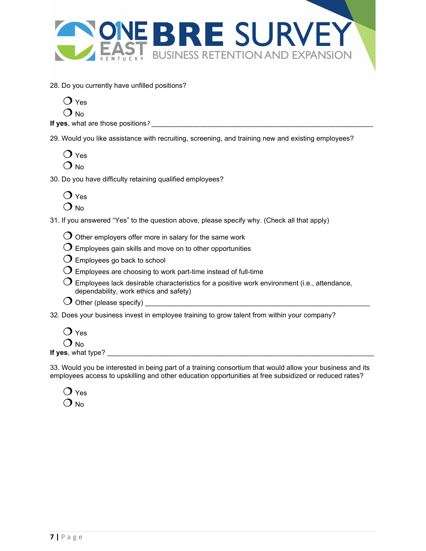

28. Do you currently have unfilled positions?

 $\Omega_{\text{No}}$ 

**If yes**, what are those positions?

29. Would you like assistance with recruiting, screening, and training new and existing employees?

 $\overline{O}$  Yes  $\Omega_{\text{No}}$ 

30. Do you have difficulty retaining qualified employees?

| res    |
|--------|
| N<br>O |

31. If you answered "Yes" to the question above, please specify why. (Check all that apply)

 $\overline{O}$  Other employers offer more in salary for the same work

- $\bigcirc$  Employees gain skills and move on to other opportunities
- $\overline{O}$  Employees go back to school
- $\overline{\mathrm{O}}$  Employees are choosing to work part-time instead of full-time
- $\mathrm O$  Employees lack desirable characteristics for a positive work environment (i.e., attendance, dependability, work ethics and safety)
- $\bigcirc$  Other (please specify)
- 32. Does your business invest in employee training to grow talent from within your company?

|              | Yes |
|--------------|-----|
| $\mathbf{L}$ | Nο  |

**If yes**, what type? \_\_\_\_\_\_\_\_\_\_\_\_\_\_\_\_\_\_\_\_\_\_\_\_\_\_\_\_\_\_\_\_\_\_\_\_\_\_\_\_\_\_\_\_\_\_\_\_\_\_\_\_\_\_\_\_\_\_\_\_\_\_\_\_\_\_\_\_\_\_\_\_\_\_\_\_\_

33. Would you be interested in being part of a training consortium that would allow your business and its employees access to upskilling and other education opportunities at free subsidized or reduced rates?

|         | Yes |
|---------|-----|
| ı<br>t, | Nο  |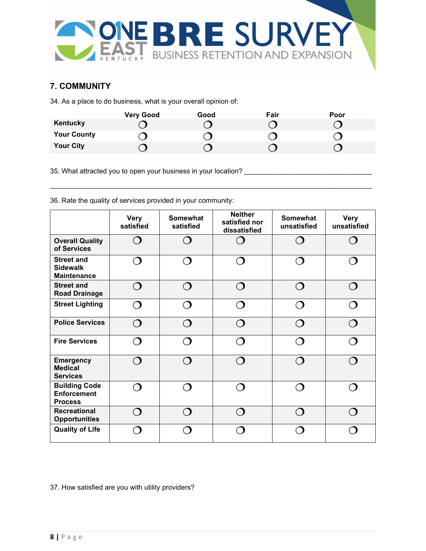

#### **7. COMMUNITY**

34. As a place to do business, what is your overall opinion of:

|                    | <b>Very Good</b> | Good | Fair | Poor |
|--------------------|------------------|------|------|------|
| Kentucky           |                  |      |      |      |
| <b>Your County</b> |                  |      |      |      |
| <b>Your City</b>   |                  |      |      |      |

\_\_\_\_\_\_\_\_\_\_\_\_\_\_\_\_\_\_\_\_\_\_\_\_\_\_\_\_\_\_\_\_\_\_\_\_\_\_\_\_\_\_\_\_\_\_\_\_\_\_\_\_\_\_\_\_\_\_\_\_\_\_\_\_\_\_\_\_\_\_\_\_\_\_\_\_\_\_\_\_\_\_\_\_\_\_\_\_\_\_\_\_\_

35. What attracted you to open your business in your location? \_\_\_\_\_\_\_\_\_\_\_\_\_\_\_\_\_\_\_\_\_\_\_\_\_\_\_\_\_\_\_\_\_\_\_\_\_

|                                                              | <b>Very</b><br>satisfied | <b>Somewhat</b><br>satisfied | <b>Neither</b><br>satisfied nor<br>dissatisfied | <b>Somewhat</b><br>unsatisfied | <b>Very</b><br>unsatisfied |
|--------------------------------------------------------------|--------------------------|------------------------------|-------------------------------------------------|--------------------------------|----------------------------|
| <b>Overall Quality</b><br>of Services                        | ⌒                        |                              | ∩                                               |                                |                            |
| <b>Street and</b><br><b>Sidewalk</b><br><b>Maintenance</b>   | $\bigcap$                |                              |                                                 |                                |                            |
| <b>Street and</b><br><b>Road Drainage</b>                    | ⌒                        | ⌒                            | ⌒                                               |                                | ◠                          |
| <b>Street Lighting</b>                                       | ⌒                        |                              |                                                 |                                |                            |
| <b>Police Services</b>                                       | ⌒                        | $\cap$                       | $\cap$                                          |                                |                            |
| <b>Fire Services</b>                                         | ◠                        |                              |                                                 |                                |                            |
| <b>Emergency</b><br><b>Medical</b><br><b>Services</b>        | ⌒                        |                              | $\bigcap$                                       |                                |                            |
| <b>Building Code</b><br><b>Enforcement</b><br><b>Process</b> |                          |                              |                                                 |                                |                            |
| <b>Recreational</b><br><b>Opportunities</b>                  | $\bigcap$                |                              |                                                 |                                |                            |
| <b>Quality of Life</b>                                       |                          |                              |                                                 |                                |                            |

36. Rate the quality of services provided in your community:

37. How satisfied are you with utility providers?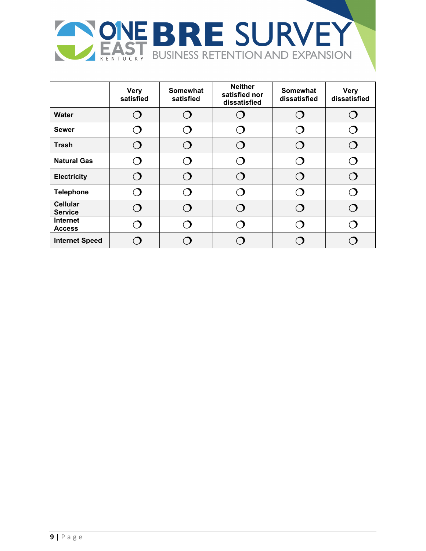

|                                   | <b>Very</b><br>satisfied | <b>Somewhat</b><br>satisfied | <b>Neither</b><br>satisfied nor<br>dissatisfied | <b>Somewhat</b><br>dissatisfied | <b>Very</b><br>dissatisfied |
|-----------------------------------|--------------------------|------------------------------|-------------------------------------------------|---------------------------------|-----------------------------|
| <b>Water</b>                      | ◠                        |                              | $\bigcap$                                       |                                 |                             |
| <b>Sewer</b>                      |                          |                              |                                                 |                                 |                             |
| <b>Trash</b>                      | ⌒                        |                              |                                                 |                                 |                             |
| <b>Natural Gas</b>                | ◠                        |                              |                                                 |                                 |                             |
| <b>Electricity</b>                | $\cap$                   |                              |                                                 |                                 |                             |
| <b>Telephone</b>                  | $\bigcap$                |                              |                                                 |                                 |                             |
| <b>Cellular</b><br><b>Service</b> | ⌒                        |                              |                                                 |                                 |                             |
| <b>Internet</b><br><b>Access</b>  |                          |                              |                                                 |                                 |                             |
| <b>Internet Speed</b>             |                          |                              |                                                 |                                 |                             |